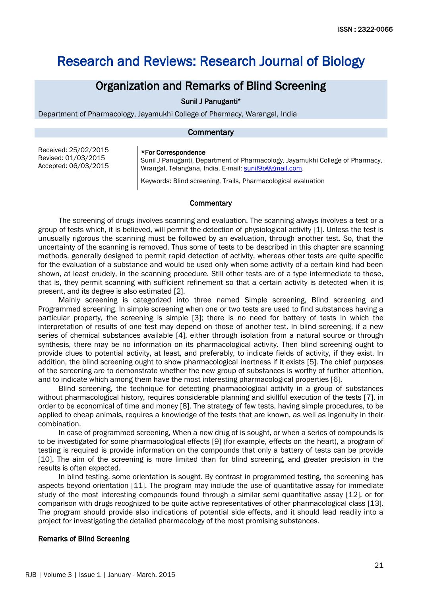# Research and Reviews: Research Journal of Biology

# Organization and Remarks of Blind Screening

Sunil J Panuganti\*

Department of Pharmacology, Jayamukhi College of Pharmacy, Warangal, India

### **Commentary**

Received: 25/02/2015 Revised: 01/03/2015 Accepted: 06/03/2015

#### \*For Correspondence

Sunil J Panuganti, Department of Pharmacology, Jayamukhi College of Pharmacy, Wrangal, Telangana, India, E-mail: [sunil9p@gmail.com.](mailto:sunil9p@gmail.com)

Keywords: Blind screening, Trails, Pharmacological evaluation

# **Commentary**

The screening of drugs involves scanning and evaluation. The scanning always involves a test or a group of tests which, it is believed, will permit the detection of physiological activity [1]. Unless the test is unusually rigorous the scanning must be followed by an evaluation, through another test. So, that the uncertainty of the scanning is removed. Thus some of tests to be described in this chapter are scanning methods, generally designed to permit rapid detection of activity, whereas other tests are quite specific for the evaluation of a substance and would be used only when some activity of a certain kind had been shown, at least crudely, in the scanning procedure. Still other tests are of a type intermediate to these, that is, they permit scanning with sufficient refinement so that a certain activity is detected when it is present, and its degree is also estimated [2].

Mainly screening is categorized into three named Simple screening, Blind screening and Programmed screening. In simple screening when one or two tests are used to find substances having a particular property, the screening is simple [3]; there is no need for battery of tests in which the interpretation of results of one test may depend on those of another test. In blind screening, if a new series of chemical substances available [4], either through isolation from a natural source or through synthesis, there may be no information on its pharmacological activity. Then blind screening ought to provide clues to potential activity, at least, and preferably, to indicate fields of activity, if they exist. In addition, the blind screening ought to show pharmacological inertness if it exists [5]. The chief purposes of the screening are to demonstrate whether the new group of substances is worthy of further attention, and to indicate which among them have the most interesting pharmacological properties [6].

Blind screening, the technique for detecting pharmacological activity in a group of substances without pharmacological history, requires considerable planning and skillful execution of the tests [7], in order to be economical of time and money [8]. The strategy of few tests, having simple procedures, to be applied to cheap animals, requires a knowledge of the tests that are known, as well as ingenuity in their combination.

In case of programmed screening, When a new drug of is sought, or when a series of compounds is to be investigated for some pharmacological effects [9] (for example, effects on the heart), a program of testing is required is provide information on the compounds that only a battery of tests can be provide [10]. The aim of the screening is more limited than for blind screening, and greater precision in the results is often expected.

In blind testing, some orientation is sought. By contrast in programmed testing, the screening has aspects beyond orientation [11]. The program may include the use of quantitative assay for immediate study of the most interesting compounds found through a similar semi quantitative assay [12], or for comparison with drugs recognized to be quite active representatives of other pharmacological class [13]. The program should provide also indications of potential side effects, and it should lead readily into a project for investigating the detailed pharmacology of the most promising substances.

# Remarks of Blind Screening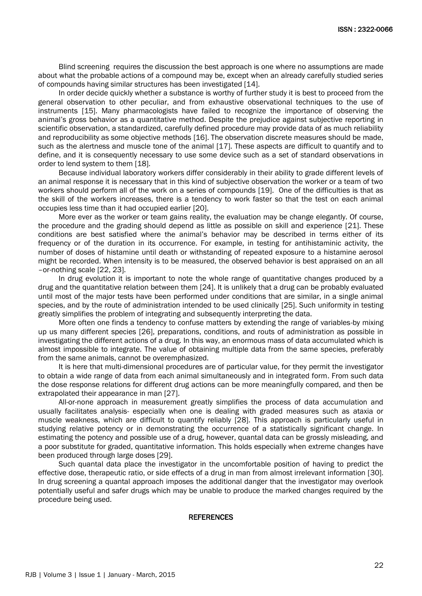Blind screening requires the discussion the best approach is one where no assumptions are made about what the probable actions of a compound may be, except when an already carefully studied series of compounds having similar structures has been investigated [14].

In order decide quickly whether a substance is worthy of further study it is best to proceed from the general observation to other peculiar, and from exhaustive observational techniques to the use of instruments [15]. Many pharmacologists have failed to recognize the importance of observing the animal's gross behavior as a quantitative method. Despite the prejudice against subjective reporting in scientific observation, a standardized, carefully defined procedure may provide data of as much reliability and reproducibility as some objective methods [16]. The observation discrete measures should be made, such as the alertness and muscle tone of the animal [17]. These aspects are difficult to quantify and to define, and it is consequently necessary to use some device such as a set of standard observations in order to lend system to them [18].

Because individual laboratory workers differ considerably in their ability to grade different levels of an animal response it is necessary that in this kind of subjective observation the worker or a team of two workers should perform all of the work on a series of compounds [19]. One of the difficulties is that as the skill of the workers increases, there is a tendency to work faster so that the test on each animal occupies less time than it had occupied earlier [20].

More ever as the worker or team gains reality, the evaluation may be change elegantly. Of course, the procedure and the grading should depend as little as possible on skill and experience [21]. These conditions are best satisfied where the animal's behavior may be described in terms either of its frequency or of the duration in its occurrence. For example, in testing for antihistaminic activity, the number of doses of histamine until death or withstanding of repeated exposure to a histamine aerosol might be recorded. When intensity is to be measured, the observed behavior is best appraised on an all –or-nothing scale [22, 23].

In drug evolution it is important to note the whole range of quantitative changes produced by a drug and the quantitative relation between them [24]. It is unlikely that a drug can be probably evaluated until most of the major tests have been performed under conditions that are similar, in a single animal species, and by the route of administration intended to be used clinically [25]. Such uniformity in testing greatly simplifies the problem of integrating and subsequently interpreting the data.

More often one finds a tendency to confuse matters by extending the range of variables-by mixing up us many different species [26], preparations, conditions, and routs of administration as possible in investigating the different actions of a drug. In this way, an enormous mass of data accumulated which is almost impossible to integrate. The value of obtaining multiple data from the same species, preferably from the same animals, cannot be overemphasized.

It is here that multi-dimensional procedures are of particular value, for they permit the investigator to obtain a wide range of data from each animal simultaneously and in integrated form. From such data the dose response relations for different drug actions can be more meaningfully compared, and then be extrapolated their appearance in man [27].

All-or-none approach in measurement greatly simplifies the process of data accumulation and usually facilitates analysis- especially when one is dealing with graded measures such as ataxia or muscle weakness, which are difficult to quantify reliably [28]. This approach is particularly useful in studying relative potency or in demonstrating the occurrence of a statistically significant change. In estimating the potency and possible use of a drug, however, quantal data can be grossly misleading, and a poor substitute for graded, quantitative information. This holds especially when extreme changes have been produced through large doses [29].

Such quantal data place the investigator in the uncomfortable position of having to predict the effective dose, therapeutic ratio, or side effects of a drug in man from almost irrelevant information [30]. In drug screening a quantal approach imposes the additional danger that the investigator may overlook potentially useful and safer drugs which may be unable to produce the marked changes required by the procedure being used.

#### **REFERENCES**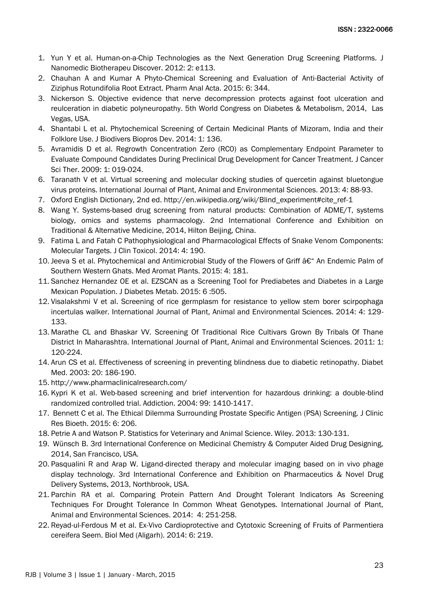- 1. Yun Y et al. [Human-on-a-Chip Technologies as the Next Generation Drug Screening Platforms. J](http://omicsonline.org/human-on-a-chip-technologies-as-the-next-generation-drug-screening%20platforms-2155-983X.1000e113.php?aid=5616)  [Nanomedic Biotherapeu Discover. 2012:](http://omicsonline.org/human-on-a-chip-technologies-as-the-next-generation-drug-screening%20platforms-2155-983X.1000e113.php?aid=5616) 2: e113.
- 2. [Chauhan A and Kumar A Phyto-Chemical Screening and Evaluation of Anti-Bacterial Activity of](http://omicsonline.org/open-access/phytochemical-screening-and-evaluation-of-antibacterial-activity-of-ziziphus-rotundifolia-root-extract-2153-2435-1000344.php?aid=42304)  [Ziziphus Rotundifolia Root Extract. Pharm Anal Acta. 2015: 6: 344.](http://omicsonline.org/open-access/phytochemical-screening-and-evaluation-of-antibacterial-activity-of-ziziphus-rotundifolia-root-extract-2153-2435-1000344.php?aid=42304)
- 3. [Nickerson S. Objective evidence that nerve decompression protects against foot ulceration and](http://omicsonline.org/2155-6156/2155-6156.S1.026-027.pdf)  [reulceration in diabetic polyneuropathy. 5th World Congress on Diabetes & Metabolism, 2014, Las](http://omicsonline.org/2155-6156/2155-6156.S1.026-027.pdf)  [Vegas, USA.](http://omicsonline.org/2155-6156/2155-6156.S1.026-027.pdf)
- 4. [Shantabi L et al. Phytochemical Screening of Certain Medicinal Plants of Mizoram, India and their](http://omicsgroup.org/journals/phytochemical-screening-of-certain-medicinal-plants-of-mizoram-india-and-their-folklore-use-2376-0214.1000136.php?aid=36199)  [Folklore Use. J Biodivers Biopros Dev. 2014: 1: 136.](http://omicsgroup.org/journals/phytochemical-screening-of-certain-medicinal-plants-of-mizoram-india-and-their-folklore-use-2376-0214.1000136.php?aid=36199)
- 5. [Avramidis D et al. Regrowth Concentration Zero \(RC0\) as Complementary Endpoint Parameter to](http://omicsonline.org/regrowth-concentration-zero-rc-as-complementary-endpoint-parameter-to-evaluate-compound-candidates-during-preclinical-drug-development-1948-5956.1000003.php?aid=257)  [Evaluate Compound Candidates During Preclinical Drug Development for Cancer Treatment. J Cancer](http://omicsonline.org/regrowth-concentration-zero-rc-as-complementary-endpoint-parameter-to-evaluate-compound-candidates-during-preclinical-drug-development-1948-5956.1000003.php?aid=257)  [Sci Ther. 2009: 1: 019-024.](http://omicsonline.org/regrowth-concentration-zero-rc-as-complementary-endpoint-parameter-to-evaluate-compound-candidates-during-preclinical-drug-development-1948-5956.1000003.php?aid=257)
- 6. [Taranath V et al. Virtual screening and molecular docking studies of quercetin against bluetongue](http://rroij.com/open-access/virtual-screening-and-molecular-docking-studies-of-quercetin-against-88-93.pdf?aid=39158)  [virus proteins. International Journal of Plant, Animal and Environmental Sciences. 2013: 4: 88-93.](http://rroij.com/open-access/virtual-screening-and-molecular-docking-studies-of-quercetin-against-88-93.pdf?aid=39158)
- 7. [Oxford English Dictionary, 2nd ed.](http://en.wikipedia.org/wiki/Blind_experiment#cite_ref-1) http://en.wikipedia.org/wiki/Blind\_experiment#cite\_ref-1
- 8. [Wang Y. Systems-based drug screening from natural products: Combination of ADME/T, systems](http://esciencecentral.org/journals/2327-5162/2327-5162.S1.006-006.pdf)  [biology, omics and systems pharmacology. 2nd International Conference and Exhibition on](http://esciencecentral.org/journals/2327-5162/2327-5162.S1.006-006.pdf)  [Traditional & Alternative Medicine, 2014, Hilton Beijing, China.](http://esciencecentral.org/journals/2327-5162/2327-5162.S1.006-006.pdf)
- 9. [Fatima L and Fatah C Pathophysiological and Pharmacological Effects of Snake Venom Components:](http://omicsonline.org/open-access/pathophysiological-and-pharmacological-effects-of-snake-venom-components-molecular-targets-2161-0495.1000-190.php?aid=25709)  [Molecular Targets. J Clin Toxicol. 2014: 4: 190.](http://omicsonline.org/open-access/pathophysiological-and-pharmacological-effects-of-snake-venom-components-molecular-targets-2161-0495.1000-190.php?aid=25709)
- 10. Jeeva S et al. Phytochemical and Antimicrobial Study of the Flowers of Griff  $\hat{a}\epsilon$ " An Endemic Palm of [Southern Western Ghats. Med Aromat Plants. 2015: 4: 181.](http://omicsgroup.org/journals/phytochemical-and-antimicrobial-study-of-the-flowers-of-griff--anendemic-palm-of-southern-western-ghats-2167-0412-1000181.php?aid=42242)
- 11. Sanchez Hernandez OE et al. EZSCAN as a [Screening Tool for Prediabetes and Diabetes in a Large](http://omicsonline.org/open-access/ezscan-as-a-screening-tool-for-prediabetes-and-diabetes-in-a-largemexican-population-2155-6156-1000505.php?aid=43066)  [Mexican Population. J Diabetes Metab. 2015: 6 :505.](http://omicsonline.org/open-access/ezscan-as-a-screening-tool-for-prediabetes-and-diabetes-in-a-largemexican-population-2155-6156-1000505.php?aid=43066)
- 12. Visalakshmi V et al. Screening [of rice germplasm for resistance to yellow stem borer scirpophaga](http://rroij.com/open-access/screening-of-rice-germplasm-for-resistance-to-yellow-129-133.pdf?aid=39170)  [incertulas walker. International Journal of Plant, Animal and Environmental Sciences. 2014: 4: 129-](http://rroij.com/open-access/screening-of-rice-germplasm-for-resistance-to-yellow-129-133.pdf?aid=39170) [133.](http://rroij.com/open-access/screening-of-rice-germplasm-for-resistance-to-yellow-129-133.pdf?aid=39170)
- 13. [Marathe CL and Bhaskar VV. Screening Of Traditional Rice Cultivars Grown By Tribals Of Thane](http://rroij.com/open-access/screening-of-traditional-rice-cultivars-grown-by-tribals-of-thane-district-in-maharashtra-220-224.pdf?aid=39322)  [District In Maharashtra. International Journal of Plant, Animal and Environmental Sciences. 2011: 1:](http://rroij.com/open-access/screening-of-traditional-rice-cultivars-grown-by-tribals-of-thane-district-in-maharashtra-220-224.pdf?aid=39322)  [120-224.](http://rroij.com/open-access/screening-of-traditional-rice-cultivars-grown-by-tribals-of-thane-district-in-maharashtra-220-224.pdf?aid=39322)
- 14. [Arun CS et al. Effectiveness of screening in preventing blindness due to diabetic retinopathy. Diabet](http://www.ncbi.nlm.nih.gov/pubmed/12675661)  [Med. 2003: 20: 186-190.](http://www.ncbi.nlm.nih.gov/pubmed/12675661)
- 15. <http://www.pharmaclinicalresearch.com/>
- 16. [Kypri K et al. Web-based screening and brief intervention for hazardous drinking: a double-blind](http://www.ncbi.nlm.nih.gov/pubmed/15500594)  [randomized controlled trial. Addiction. 2004: 99: 1410-1417.](http://www.ncbi.nlm.nih.gov/pubmed/15500594)
- 17. [Bennett C et al. The Ethical Dilemma Surrounding Prostate Specific Antigen \(PSA\) Screening. J Clinic](http://omicsonline.org/open-access/the-ethical-dilemma-surrounding-prostate-specific-antigen-psa-screening-2155-9627.1000206.php?aid=37206)  [Res Bioeth. 2015: 6: 206.](http://omicsonline.org/open-access/the-ethical-dilemma-surrounding-prostate-specific-antigen-psa-screening-2155-9627.1000206.php?aid=37206)
- 18. [Petrie A and Watson P. Statistics for Veterinary and Animal Science. Wiley. 2013: 130-131.](http://books.google.com/books?id=1hp9p_nmvGUC&pg=PT130)
- 19. [Wünsch B. 3rd International Conference on Medicinal Chemistry & Computer Aided Drug Designing,](http://books.google.com/books?id=1hp9p_nmvGUC&pg=PT130)  2014, San Francisco, USA.
- 20. [Pasqualini R and Arap W. Ligand-directed therapy and molecular imaging based on in vivo phage](http://omicsonline.org/2153-2435/2153-2435.S1.017-006.pdf)  [display technology. 3rd International Conference and Exhibition on Pharmaceutics & Novel Drug](http://omicsonline.org/2153-2435/2153-2435.S1.017-006.pdf)  [Delivery Systems, 2013, Northbrook, USA.](http://omicsonline.org/2153-2435/2153-2435.S1.017-006.pdf)
- 21. [Parchin RA et al. Comparing Protein Pattern And Drought Tolerant Indicators As Screening](http://rroij.com/open-access/comparing-protein-pattern-and-drought-tolerant-indicators-251-258.pdf?aid=39413)  [Techniques For Drought Tolerance In Common Wheat Genotypes. International Journal of Plant,](http://rroij.com/open-access/comparing-protein-pattern-and-drought-tolerant-indicators-251-258.pdf?aid=39413)  [Animal and Environmental Sciences. 2014: 4: 251-258.](http://rroij.com/open-access/comparing-protein-pattern-and-drought-tolerant-indicators-251-258.pdf?aid=39413)
- 22. [Reyad-ul-Ferdous M et al. Ex-Vivo Cardioprotective and Cytotoxic Screening of Fruits of Parmentiera](http://omicsonline.com/open-access/exvivo-cardioprotective-and-cytotoxic-screening-of-fruits-of-parmentiera-cereifera-seem-0974-8369.1000219.php?aid=32936)  [cereifera Seem. Biol Med \(Aligarh\). 2014: 6: 219.](http://omicsonline.com/open-access/exvivo-cardioprotective-and-cytotoxic-screening-of-fruits-of-parmentiera-cereifera-seem-0974-8369.1000219.php?aid=32936)